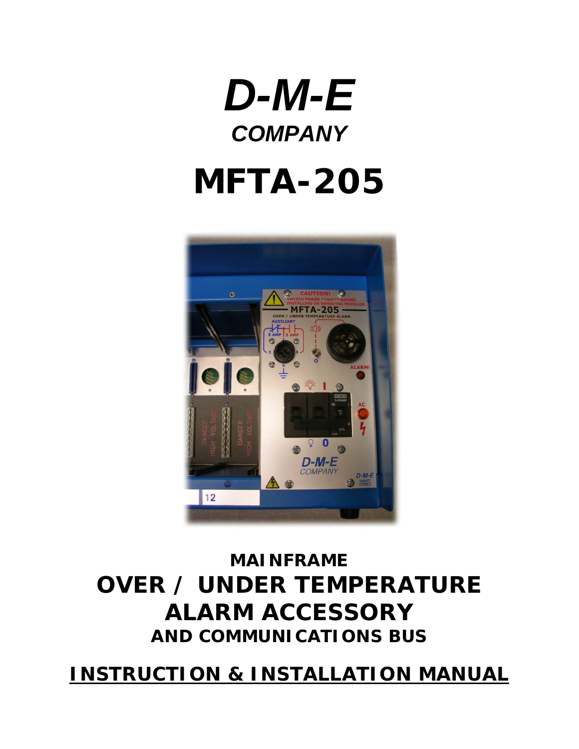

# **MFTA-205**



# **MAINFRAME OVER / UNDER TEMPERATURE ALARM ACCESSORY AND COMMUNICATIONS BUS**

**INSTRUCTION & INSTALLATION MANUAL**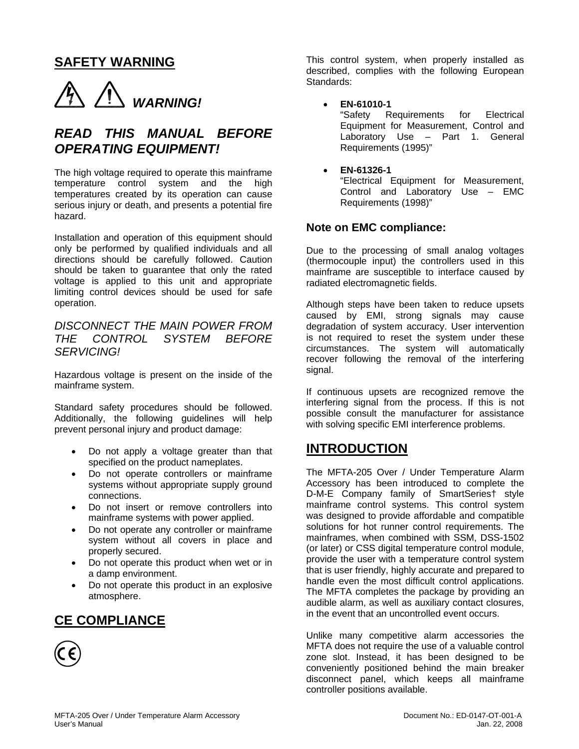

# *READ THIS MANUAL BEFORE OPERATING EQUIPMENT!*

The high voltage required to operate this mainframe temperature control system and the high temperatures created by its operation can cause serious injury or death, and presents a potential fire hazard.

Installation and operation of this equipment should only be performed by qualified individuals and all directions should be carefully followed. Caution should be taken to guarantee that only the rated voltage is applied to this unit and appropriate limiting control devices should be used for safe operation.

#### *DISCONNECT THE MAIN POWER FROM THE CONTROL SYSTEM BEFORE SERVICING!*

Hazardous voltage is present on the inside of the mainframe system.

Standard safety procedures should be followed. Additionally, the following guidelines will help prevent personal injury and product damage:

- Do not apply a voltage greater than that specified on the product nameplates.
- Do not operate controllers or mainframe systems without appropriate supply ground connections.
- Do not insert or remove controllers into mainframe systems with power applied.
- Do not operate any controller or mainframe system without all covers in place and properly secured.
- Do not operate this product when wet or in a damp environment.
- Do not operate this product in an explosive atmosphere.

# **CE COMPLIANCE**



This control system, when properly installed as described, complies with the following European Standards:

• **EN-61010-1** 

"Safety Requirements for Electrical Equipment for Measurement, Control and Laboratory Use – Part 1. General Requirements (1995)"

• **EN-61326-1**  "Electrical Equipment for Measurement, Control and Laboratory Use – EMC Requirements (1998)"

#### **Note on EMC compliance:**

Due to the processing of small analog voltages (thermocouple input) the controllers used in this mainframe are susceptible to interface caused by radiated electromagnetic fields.

Although steps have been taken to reduce upsets caused by EMI, strong signals may cause degradation of system accuracy. User intervention is not required to reset the system under these circumstances. The system will automatically recover following the removal of the interfering signal.

If continuous upsets are recognized remove the interfering signal from the process. If this is not possible consult the manufacturer for assistance with solving specific EMI interference problems.

# **INTRODUCTION**

The MFTA-205 Over / Under Temperature Alarm Accessory has been introduced to complete the D-M-E Company family of SmartSeries† style mainframe control systems. This control system was designed to provide affordable and compatible solutions for hot runner control requirements. The mainframes, when combined with SSM, DSS-1502 (or later) or CSS digital temperature control module, provide the user with a temperature control system that is user friendly, highly accurate and prepared to handle even the most difficult control applications. The MFTA completes the package by providing an audible alarm, as well as auxiliary contact closures, in the event that an uncontrolled event occurs.

Unlike many competitive alarm accessories the MFTA does not require the use of a valuable control zone slot. Instead, it has been designed to be conveniently positioned behind the main breaker disconnect panel, which keeps all mainframe controller positions available.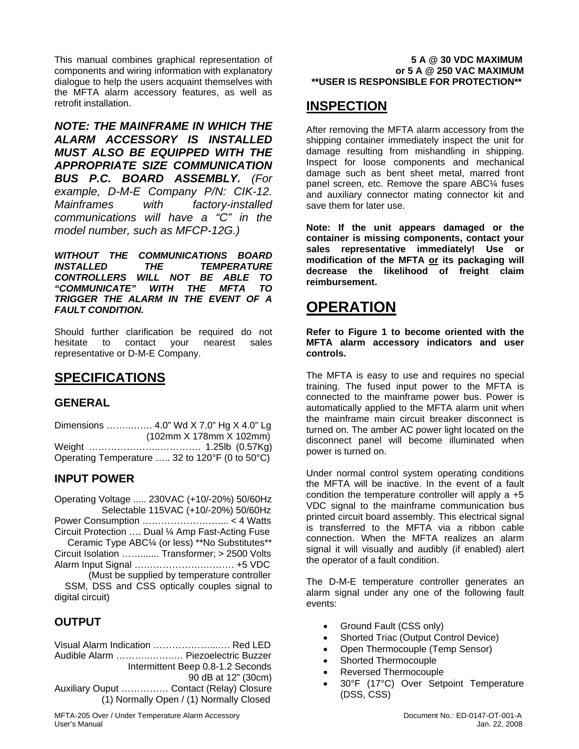This manual combines graphical representation of components and wiring information with explanatory dialogue to help the users acquaint themselves with the MFTA alarm accessory features, as well as retrofit installation.

*NOTE: THE MAINFRAME IN WHICH THE ALARM ACCESSORY IS INSTALLED MUST ALSO BE EQUIPPED WITH THE APPROPRIATE SIZE COMMUNICATION BUS P.C. BOARD ASSEMBLY. (For example, D-M-E Company P/N: CIK-12. Mainframes with factory-installed communications will have a "C" in the model number, such as MFCP-12G.)* 

*WITHOUT THE COMMUNICATIONS BOARD INSTALLED THE TEMPERATURE CONTROLLERS WILL NOT BE ABLE TO "COMMUNICATE" WITH THE MFTA TO TRIGGER THE ALARM IN THE EVENT OF A FAULT CONDITION.* 

Should further clarification be required do not hesitate to contact your nearest sales representative or D-M-E Company.

# **SPECIFICATIONS**

#### **GENERAL**

| Dimensions  4.0" Wd X 7.0" Hg X 4.0" Lg        |                                                             |
|------------------------------------------------|-------------------------------------------------------------|
|                                                | $(102 \text{mm} \times 178 \text{mm} \times 102 \text{mm})$ |
|                                                |                                                             |
| Operating Temperature  32 to 120°F (0 to 50°C) |                                                             |

#### **INPUT POWER**

Operating Voltage ..... 230VAC (+10/-20%) 50/60Hz Selectable 115VAC (+10/-20%) 50/60Hz Power Consumption …………………….... < 4 Watts Circuit Protection …. Dual ¼ Amp Fast-Acting Fuse Ceramic Type ABC¼ (or less) \*\*No Substitutes\*\* Circuit Isolation ……....... Transformer; > 2500 Volts Alarm Input Signal ………………….………. +5 VDC (Must be supplied by temperature controller SSM, DSS and CSS optically couples signal to digital circuit)

#### **OUTPUT**

Visual Alarm Indication ………………...…. Red LED Audible Alarm ………..……..… Piezoelectric Buzzer Intermittent Beep 0.8-1.2 Seconds 90 dB at 12" (30cm) Auxiliary Ouput …………… Contact (Relay) Closure (1) Normally Open / (1) Normally Closed

MFTA-205 Over / Under Temperature Alarm Accessory **Document No.: ED-0147-OT-001-A**<br>User's Manual Jan. 22. 2008 User's Manual Jan. 22, 2008

#### **5 A @ 30 VDC MAXIMUM or 5 A @ 250 VAC MAXIMUM \*\*USER IS RESPONSIBLE FOR PROTECTION\*\***

# **INSPECTION**

After removing the MFTA alarm accessory from the shipping container immediately inspect the unit for damage resulting from mishandling in shipping. Inspect for loose components and mechanical damage such as bent sheet metal, marred front panel screen, etc. Remove the spare ABC¼ fuses and auxiliary connector mating connector kit and save them for later use.

**Note: If the unit appears damaged or the container is missing components, contact your sales representative immediately! Use or modification of the MFTA or its packaging will decrease the likelihood of freight claim reimbursement.** 

# **OPERATION**

**Refer to Figure 1 to become oriented with the MFTA alarm accessory indicators and user controls.** 

The MFTA is easy to use and requires no special training. The fused input power to the MFTA is connected to the mainframe power bus. Power is automatically applied to the MFTA alarm unit when the mainframe main circuit breaker disconnect is turned on. The amber AC power light located on the disconnect panel will become illuminated when power is turned on.

Under normal control system operating conditions the MFTA will be inactive. In the event of a fault condition the temperature controller will apply a +5 VDC signal to the mainframe communication bus printed circuit board assembly. This electrical signal is transferred to the MFTA via a ribbon cable connection. When the MFTA realizes an alarm signal it will visually and audibly (if enabled) alert the operator of a fault condition.

The D-M-E temperature controller generates an alarm signal under any one of the following fault events:

- Ground Fault (CSS only)
- Shorted Triac (Output Control Device)
- Open Thermocouple (Temp Sensor)
- Shorted Thermocouple
- Reversed Thermocouple
- 30°F (17°C) Over Setpoint Temperature (DSS, CSS)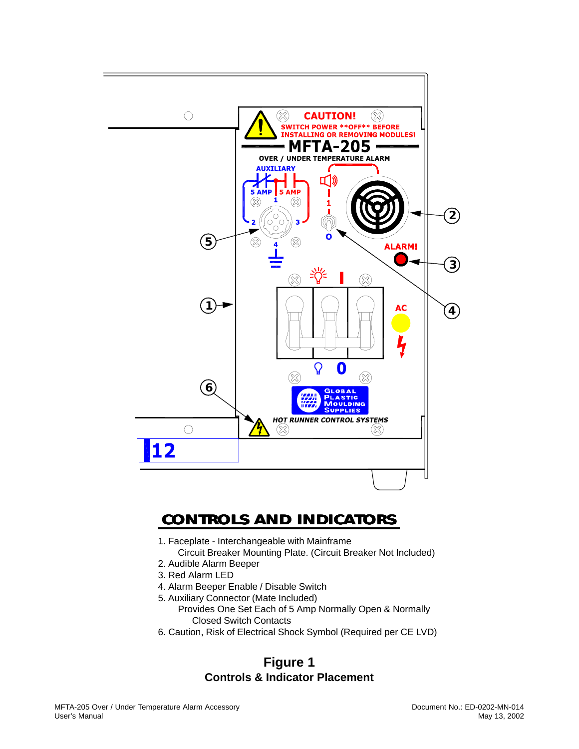

# **CONTROLS AND INDICATORS**

1. Faceplate - Interchangeable with Mainframe

Circuit Breaker Mounting Plate. (Circuit Breaker Not Included)

- 2. Audible Alarm Beeper
- 3. Red Alarm LED
- 4. Alarm Beeper Enable / Disable Switch
- 5. Auxiliary Connector (Mate Included)
	- Provides One Set Each of 5 Amp Normally Open & Normally Closed Switch Contacts
- 6. Caution, Risk of Electrical Shock Symbol (Required per CE LVD)

# **Figure 1 Controls & Indicator Placement**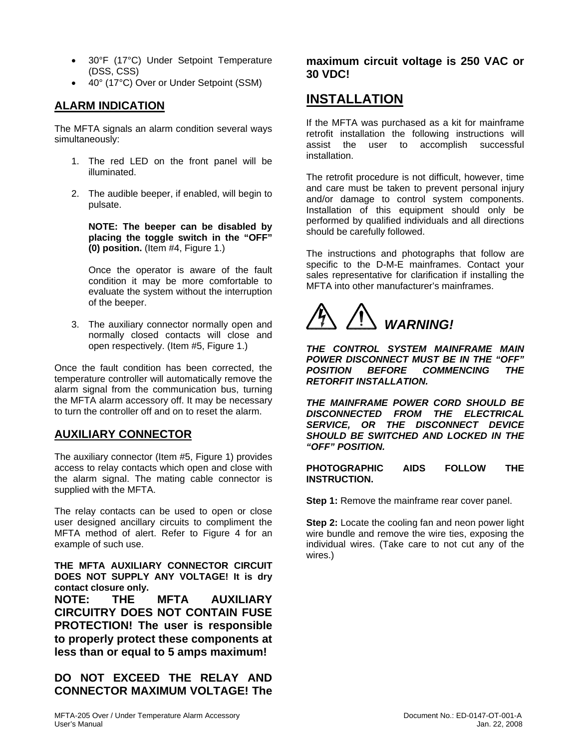- 30°F (17°C) Under Setpoint Temperature (DSS, CSS)
- 40° (17°C) Over or Under Setpoint (SSM)

#### **ALARM INDICATION**

The MFTA signals an alarm condition several ways simultaneously:

- 1. The red LED on the front panel will be illuminated.
- 2. The audible beeper, if enabled, will begin to pulsate.

**NOTE: The beeper can be disabled by placing the toggle switch in the "OFF" (0) position.** (Item #4, Figure 1.)

Once the operator is aware of the fault condition it may be more comfortable to evaluate the system without the interruption of the beeper.

3. The auxiliary connector normally open and normally closed contacts will close and open respectively. (Item #5, Figure 1.)

Once the fault condition has been corrected, the temperature controller will automatically remove the alarm signal from the communication bus, turning the MFTA alarm accessory off. It may be necessary to turn the controller off and on to reset the alarm.

#### **AUXILIARY CONNECTOR**

The auxiliary connector (Item #5, Figure 1) provides access to relay contacts which open and close with the alarm signal. The mating cable connector is supplied with the MFTA.

The relay contacts can be used to open or close user designed ancillary circuits to compliment the MFTA method of alert. Refer to Figure 4 for an example of such use.

**THE MFTA AUXILIARY CONNECTOR CIRCUIT DOES NOT SUPPLY ANY VOLTAGE! It is dry contact closure only.** 

**NOTE: THE MFTA AUXILIARY CIRCUITRY DOES NOT CONTAIN FUSE PROTECTION! The user is responsible to properly protect these components at less than or equal to 5 amps maximum!** 

**DO NOT EXCEED THE RELAY AND CONNECTOR MAXIMUM VOLTAGE! The** 

#### **maximum circuit voltage is 250 VAC or 30 VDC!**

# **INSTALLATION**

If the MFTA was purchased as a kit for mainframe retrofit installation the following instructions will assist the user to accomplish successful installation.

The retrofit procedure is not difficult, however, time and care must be taken to prevent personal injury and/or damage to control system components. Installation of this equipment should only be performed by qualified individuals and all directions should be carefully followed.

The instructions and photographs that follow are specific to the D-M-E mainframes. Contact your sales representative for clarification if installing the MFTA into other manufacturer's mainframes.



*THE CONTROL SYSTEM MAINFRAME MAIN POWER DISCONNECT MUST BE IN THE "OFF" POSITION BEFORE COMMENCING THE RETORFIT INSTALLATION.* 

*THE MAINFRAME POWER CORD SHOULD BE DISCONNECTED FROM THE ELECTRICAL SERVICE, OR THE DISCONNECT DEVICE SHOULD BE SWITCHED AND LOCKED IN THE "OFF" POSITION.* 

**PHOTOGRAPHIC AIDS FOLLOW THE INSTRUCTION.** 

**Step 1:** Remove the mainframe rear cover panel.

**Step 2:** Locate the cooling fan and neon power light wire bundle and remove the wire ties, exposing the individual wires. (Take care to not cut any of the wires.)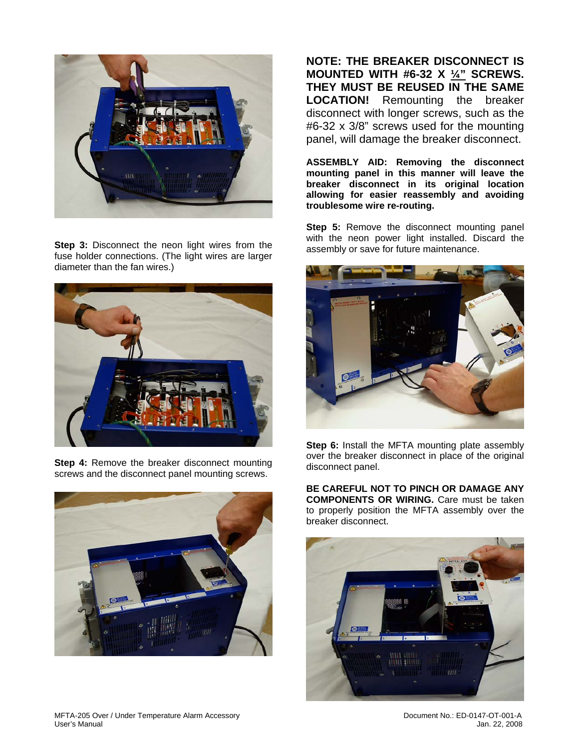

**Step 3:** Disconnect the neon light wires from the fuse holder connections. (The light wires are larger diameter than the fan wires.)



**Step 4:** Remove the breaker disconnect mounting screws and the disconnect panel mounting screws.



**NOTE: THE BREAKER DISCONNECT IS MOUNTED WITH #6-32 X ¼" SCREWS. THEY MUST BE REUSED IN THE SAME LOCATION!** Remounting the breaker disconnect with longer screws, such as the #6-32 x 3/8" screws used for the mounting panel, will damage the breaker disconnect.

**ASSEMBLY AID: Removing the disconnect mounting panel in this manner will leave the breaker disconnect in its original location allowing for easier reassembly and avoiding troublesome wire re-routing.**

**Step 5:** Remove the disconnect mounting panel with the neon power light installed. Discard the assembly or save for future maintenance.



**Step 6:** Install the MFTA mounting plate assembly over the breaker disconnect in place of the original disconnect panel.

**BE CAREFUL NOT TO PINCH OR DAMAGE ANY COMPONENTS OR WIRING.** Care must be taken to properly position the MFTA assembly over the breaker disconnect.

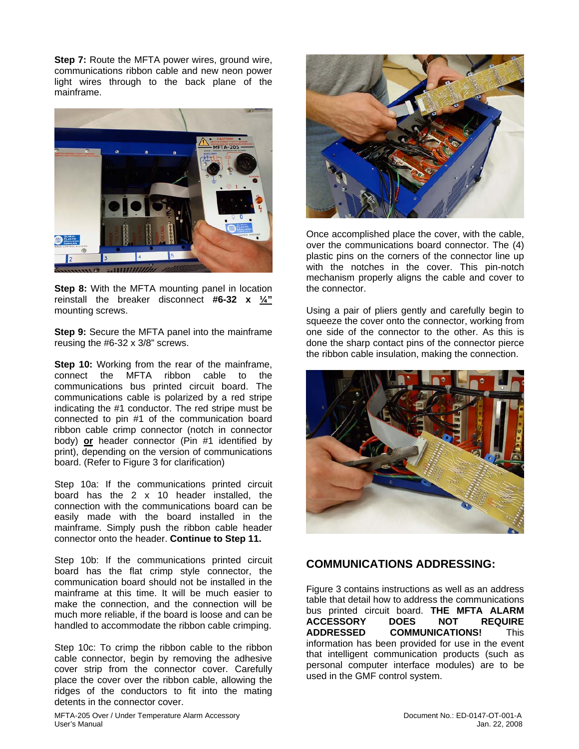**Step 7:** Route the MFTA power wires, ground wire, communications ribbon cable and new neon power light wires through to the back plane of the mainframe.



**Step 8:** With the MFTA mounting panel in location reinstall the breaker disconnect **#6-32 x ¼"** mounting screws.

**Step 9:** Secure the MFTA panel into the mainframe reusing the #6-32 x 3/8" screws.

**Step 10:** Working from the rear of the mainframe, connect the MFTA ribbon cable to the communications bus printed circuit board. The communications cable is polarized by a red stripe indicating the #1 conductor. The red stripe must be connected to pin #1 of the communication board ribbon cable crimp connector (notch in connector body) **or** header connector (Pin #1 identified by print), depending on the version of communications board. (Refer to Figure 3 for clarification)

Step 10a: If the communications printed circuit board has the 2 x 10 header installed, the connection with the communications board can be easily made with the board installed in the mainframe. Simply push the ribbon cable header connector onto the header. **Continue to Step 11.**

Step 10b: If the communications printed circuit board has the flat crimp style connector, the communication board should not be installed in the mainframe at this time. It will be much easier to make the connection, and the connection will be much more reliable, if the board is loose and can be handled to accommodate the ribbon cable crimping.

Step 10c: To crimp the ribbon cable to the ribbon cable connector, begin by removing the adhesive cover strip from the connector cover. Carefully place the cover over the ribbon cable, allowing the ridges of the conductors to fit into the mating detents in the connector cover.



Once accomplished place the cover, with the cable, over the communications board connector. The (4) plastic pins on the corners of the connector line up with the notches in the cover. This pin-notch mechanism properly aligns the cable and cover to

Using a pair of pliers gently and carefully begin to squeeze the cover onto the connector, working from one side of the connector to the other. As this is done the sharp contact pins of the connector pierce the ribbon cable insulation, making the connection.



#### **COMMUNICATIONS ADDRESSING:**

Figure 3 contains instructions as well as an address table that detail how to address the communications bus printed circuit board. **THE MFTA ALARM ACCESSORY DOES NOT REQUIRE ADDRESSED COMMUNICATIONS!** This information has been provided for use in the event that intelligent communication products (such as personal computer interface modules) are to be used in the GMF control system.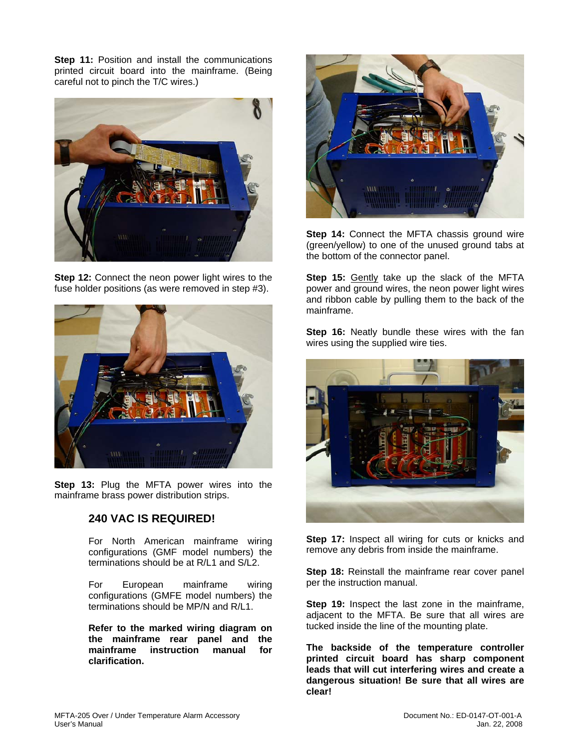**Step 11:** Position and install the communications printed circuit board into the mainframe. (Being careful not to pinch the T/C wires.)



**Step 12:** Connect the neon power light wires to the fuse holder positions (as were removed in step #3).



**Step 13:** Plug the MFTA power wires into the mainframe brass power distribution strips.

#### **240 VAC IS REQUIRED!**

For North American mainframe wiring configurations (GMF model numbers) the terminations should be at R/L1 and S/L2.

For European mainframe wiring configurations (GMFE model numbers) the terminations should be MP/N and R/L1.

**Refer to the marked wiring diagram on the mainframe rear panel and the mainframe instruction manual for clarification.** 



**Step 14:** Connect the MFTA chassis ground wire (green/yellow) to one of the unused ground tabs at the bottom of the connector panel.

Step 15: Gently take up the slack of the MFTA power and ground wires, the neon power light wires and ribbon cable by pulling them to the back of the mainframe.

**Step 16:** Neatly bundle these wires with the fan wires using the supplied wire ties.



**Step 17:** Inspect all wiring for cuts or knicks and remove any debris from inside the mainframe.

**Step 18:** Reinstall the mainframe rear cover panel per the instruction manual.

**Step 19:** Inspect the last zone in the mainframe, adjacent to the MFTA. Be sure that all wires are tucked inside the line of the mounting plate.

**The backside of the temperature controller printed circuit board has sharp component leads that will cut interfering wires and create a dangerous situation! Be sure that all wires are clear!**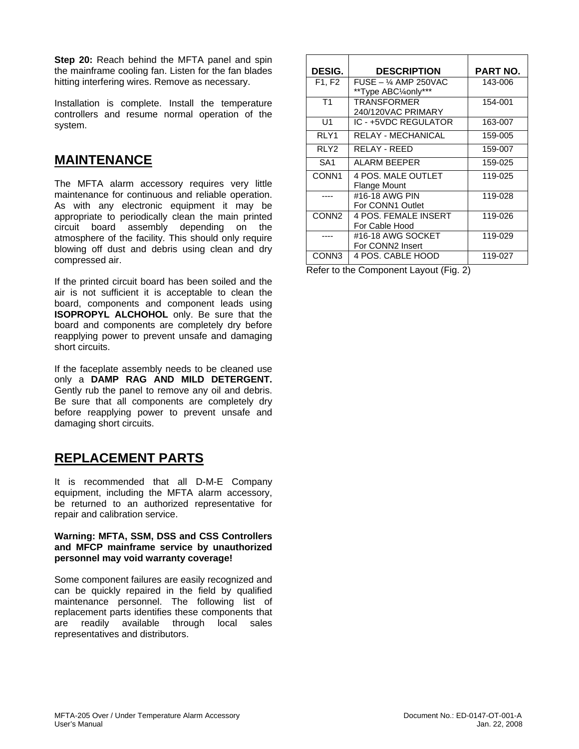**Step 20:** Reach behind the MFTA panel and spin the mainframe cooling fan. Listen for the fan blades hitting interfering wires. Remove as necessary.

Installation is complete. Install the temperature controllers and resume normal operation of the system.

# **MAINTENANCE**

The MFTA alarm accessory requires very little maintenance for continuous and reliable operation. As with any electronic equipment it may be appropriate to periodically clean the main printed circuit board assembly depending on the atmosphere of the facility. This should only require blowing off dust and debris using clean and dry compressed air.

If the printed circuit board has been soiled and the air is not sufficient it is acceptable to clean the board, components and component leads using **ISOPROPYL ALCHOHOL** only. Be sure that the board and components are completely dry before reapplying power to prevent unsafe and damaging short circuits.

If the faceplate assembly needs to be cleaned use only a **DAMP RAG AND MILD DETERGENT.** Gently rub the panel to remove any oil and debris. Be sure that all components are completely dry before reapplying power to prevent unsafe and damaging short circuits.

## **REPLACEMENT PARTS**

It is recommended that all D-M-E Company equipment, including the MFTA alarm accessory, be returned to an authorized representative for repair and calibration service.

#### **Warning: MFTA, SSM, DSS and CSS Controllers and MFCP mainframe service by unauthorized personnel may void warranty coverage!**

Some component failures are easily recognized and can be quickly repaired in the field by qualified maintenance personnel. The following list of replacement parts identifies these components that are readily available through local sales representatives and distributors.

| <b>DESIG.</b>     | <b>DESCRIPTION</b>                                   | <b>PART NO.</b> |
|-------------------|------------------------------------------------------|-----------------|
| F1, F2            | FUSE $ \frac{1}{4}$ AMP 250VAC<br>**Type ABC%only*** | 143-006         |
| T <sub>1</sub>    | <b>TRANSFORMER</b><br>240/120VAC PRIMARY             | 154-001         |
| U1                | IC - +5VDC REGULATOR                                 | 163-007         |
| RLY1              | RELAY - MECHANICAL                                   | 159-005         |
| RLY2              | RELAY - REED                                         | 159-007         |
| SA <sub>1</sub>   | ALARM BEEPER                                         | 159-025         |
| CONN <sub>1</sub> | 4 POS. MALE OUTLET<br><b>Flange Mount</b>            | 119-025         |
|                   | #16-18 AWG PIN<br>For CONN1 Outlet                   | 119-028         |
| CONN <sub>2</sub> | <b>4 POS. FEMALE INSERT</b><br>For Cable Hood        | 119-026         |
|                   | #16-18 AWG SOCKET<br>For CONN2 Insert                | 119-029         |
| CONN3             | 4 POS. CABLE HOOD                                    | 119-027         |

Refer to the Component Layout (Fig. 2)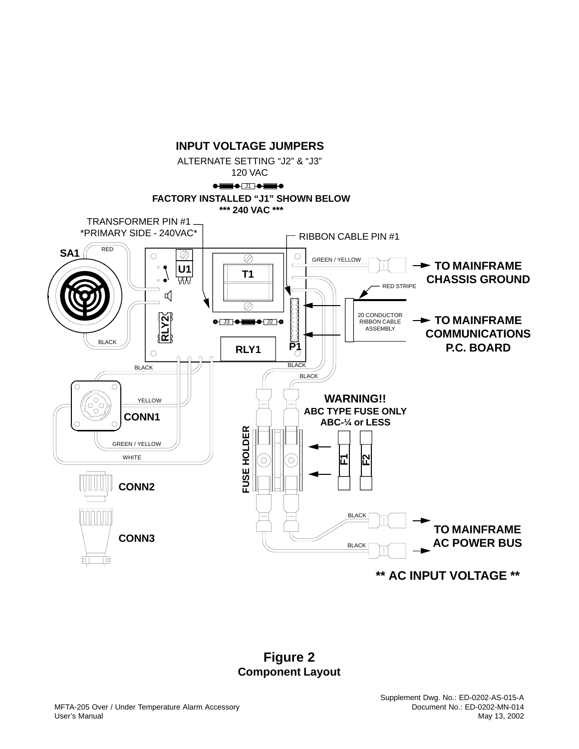

**Figure 2**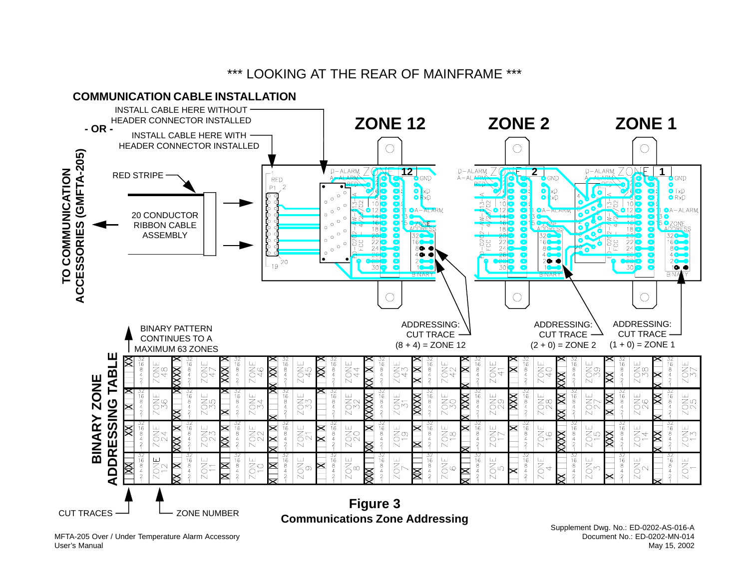\*\*\* LOOKING AT THE REAR OF MAINFRAME \*\*\*



MFTA-205 Over / Under Temperature Alarm Accessory User's Manual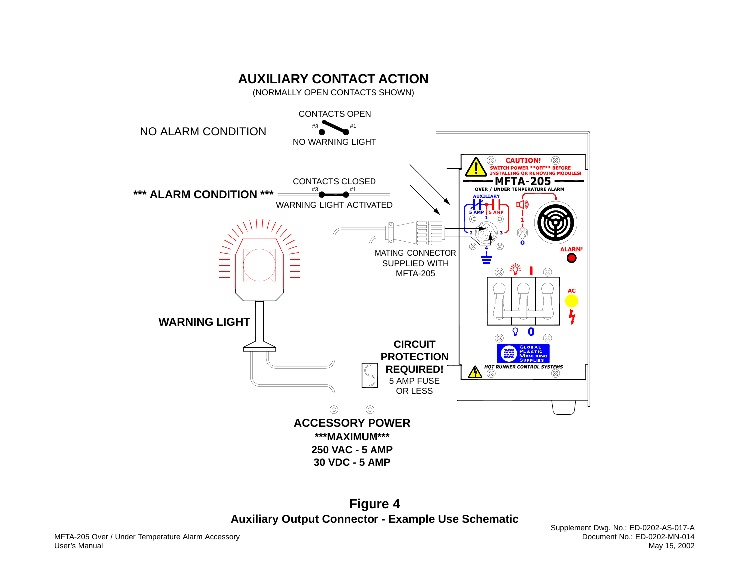

**Figure 4 Auxiliary Output Connector - Example Use Schematic**